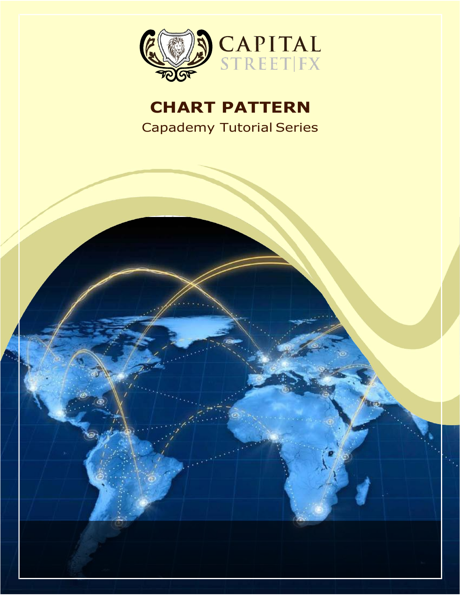

## **CHART PATTERN** Capademy Tutorial Series

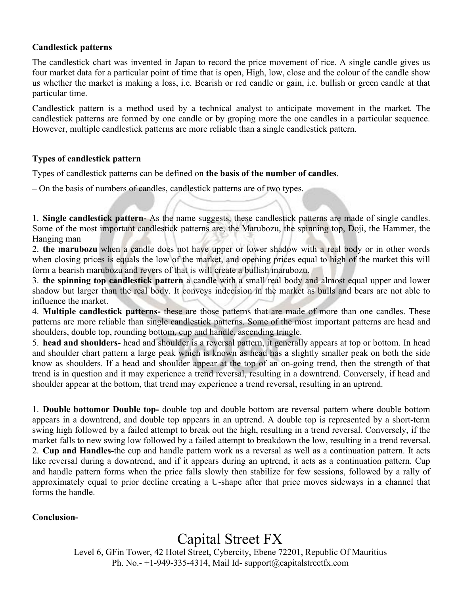## **Candlestick patterns**

The candlestick chart was invented in Japan to record the price movement of rice. A single candle gives us four market data for a particular point of time that is open, High, low, close and the colour of the candle show us whether the market is making a loss, i.e. Bearish or red candle or gain, i.e. bullish or green candle at that particular time.

Candlestick pattern is a method used by a technical analyst to anticipate movement in the market. The candlestick patterns are formed by one candle or by groping more the one candles in a particular sequence. However, multiple candlestick patterns are more reliable than a single candlestick pattern.

## **Types of candlestick pattern**

Types of candlestick patterns can be defined on the basis of the number of candles.

**–** On the basis ofnumbers of candles, candlestick patterns are of two types.

1. **Single candlestick pattern-** As the name suggests, these candlestick patterns are made of single candles. Some of the most important candlestick patterns are, the Marubozu, the spinning top, Doji, the Hammer, the Hanging man

2. **the marubozu** when a candle does not have upper or lower shadow with a real body or in other words when closing prices is equals the low of the market, and opening prices equal to high of the market this will form a bearish marubozu and revers of that is will create a bullish marubozu.

3. **the spinning top candlestick pattern** a candle with a small real body and almost equal upper and lower shadow but larger than the real body. It conveys indecision in the market as bulls and bears are not able to influence the market.

4. **Multiple candlestick patterns-** these are those patterns that are made of more than one candles.These patterns are more reliable than single candlestick patterns. Some of the most important patterns are head and shoulders, double top, rounding bottom, cup and handle, ascending tringle.

5. **head and shoulders-** head and shoulder is a reversal pattern, it generally appears at top or bottom. In head and shoulder chart pattern a large peak which is known as head has a slightly smaller peak on both the side know as shoulders. If a head and shoulder appear at the top of an on-going trend, then the strength of that trend is in question and it may experience a trend reversal, resulting in a downtrend. Conversely, if head and shoulder appear at the bottom, that trend may experience a trend reversal, resulting in an uptrend.<br>1. **Double bottomor Double top-** double top and double bottom are reversal pattern where double bottom

appears in a downtrend, and double top appears in an uptrend. A double top is represented by a short-term swing high followed by a failed attempt to break out the high, resulting in a trend reversal. Conversely, if the market falls to new swing low followed by a failed attempt to breakdown the low, resulting in a trend reversal. 2. **Cup and Handles-**the cup and handle pattern work as a reversal as well as a continuation pattern. Itacts like reversal during a downtrend, and if it appears during an uptrend, it acts as a continuation pattern. Cup and handle pattern forms when the price falls slowly then stabilize for few sessions, followed by a rally of approximately equal to prior decline creating a U-shape after that price moves sideways in a channel that forms the handle.

## **Conclusion-**

Capital Street FX

Level 6, GFin Tower, 42 Hotel Street, Cybercity, Ebene 72201, Republic Of Mauritius Ph. No.-  $+1-949-335-4314$ , Mail Id- [support@capitalstreetfx.com](mailto:support@capitalstreetfx.com)